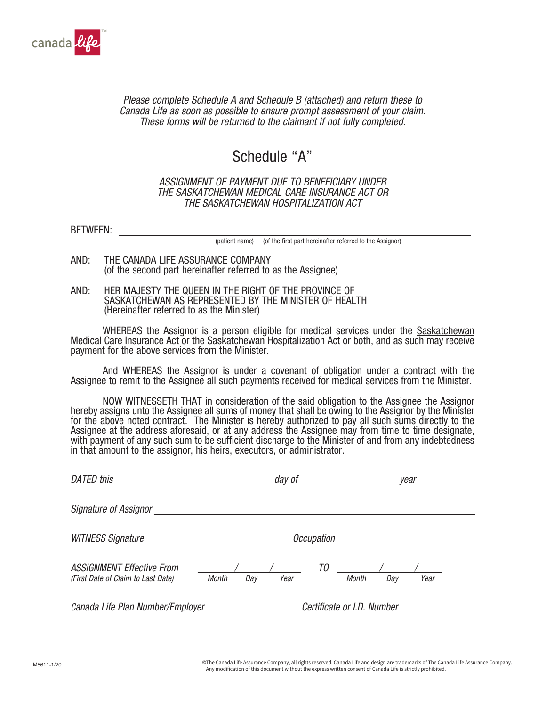

*Please complete Schedule A and Schedule B (attached) and return these to Canada Life as soon as possible to ensure prompt assessment of your claim. These forms will be returned to the claimant if not fully completed.* 

## Schedule "A"

## *ASSIGNMENT OF PAYMENT DUE TO BENEFICIARY UNDER THE SASKATCHEWAN MEDICAL CARE INSURANCE ACT OR THE SASKATCHEWAN HOSPITALIZATION ACT*

BETWEEN:

(patient name) (of the first part hereinafter referred to the Assignor)

- AND: THE CANADA LIFE ASSURANCE COMPANY (of the second part hereinafter referred to as the Assignee)
- AND: HER MAJESTY THE QUEEN IN THE RIGHT OF THE PROVINCE OF SASKATCHEWAN AS REPRESENTED BY THE MINISTER OF HEALTH (Hereinafter referred to as the Minister)

WHEREAS the Assignor is a person eligible for medical services under the Saskatchewan Medical Care Insurance Act or the Saskatchewan Hospitalization Act or both, and as such may receive payment for the above services from the Minister.

And WHEREAS the Assignor is under a covenant of obligation under a contract with the Assignee to remit to the Assignee all such payments received for medical services from the Minister.

NOW WITNESSETH THAT in consideration of the said obligation to the Assignee the Assignor hereby assigns unto the Assignee all sums of money that shall be owing to the Assignor by the Minister for the above noted contract. The Minister is hereby authorized to pay all such sums directly to the Assignee at the address aforesaid, or at any address the Assignee may from time to time designate, with payment of any such sum to be sufficient discharge to the Minister of and from any indebtedness in that amount to the assignor, his heirs, executors, or administrator.

| <b>DATED this</b>                                                      |                     | day of |                            |              |     | year |  |
|------------------------------------------------------------------------|---------------------|--------|----------------------------|--------------|-----|------|--|
| <b>Signature of Assignor</b>                                           |                     |        |                            |              |     |      |  |
| <b>WITNESS Signature</b>                                               |                     |        | <i><b>Occupation</b></i>   |              |     |      |  |
| <b>ASSIGNMENT Effective From</b><br>(First Date of Claim to Last Date) | <b>Month</b><br>Day | Year   | ТO                         | <b>Month</b> | Day | Year |  |
| Canada Life Plan Number/Employer                                       |                     |        | Certificate or I.D. Number |              |     |      |  |